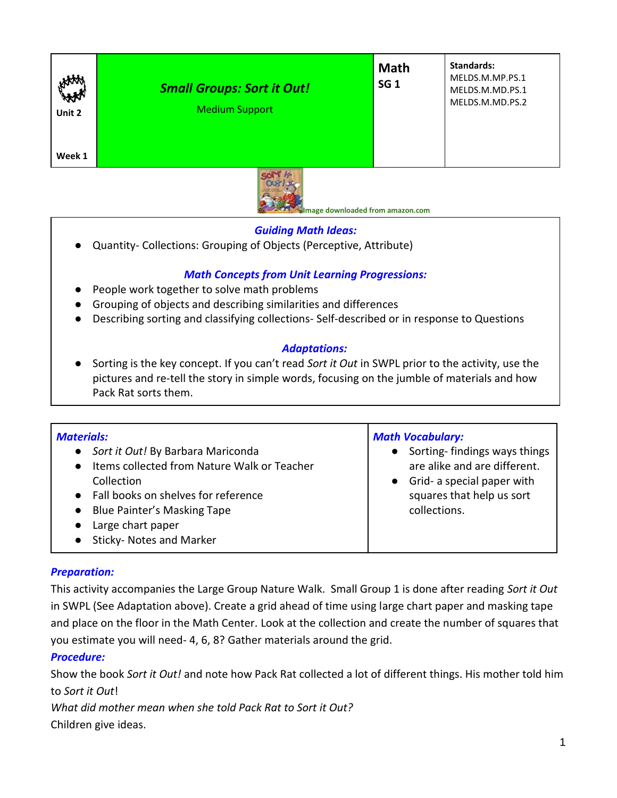| HAM<br>Unit 2<br>Week 1 | <b>Small Groups: Sort it Out!</b><br><b>Medium Support</b> | <b>Math</b><br>SG <sub>1</sub> | <b>Standards:</b><br>MELDS.M.MP.PS.1<br>MELDS.M.MD.PS.1<br>MELDS.M.MD.PS.2 |  |
|-------------------------|------------------------------------------------------------|--------------------------------|----------------------------------------------------------------------------|--|
|                         |                                                            |                                |                                                                            |  |



 **Image downloaded from amazon.com**

## *Guiding Math Ideas:*

● Quantity- Collections: Grouping of Objects (Perceptive, Attribute)

# *Math Concepts from Unit Learning Progressions:*

- People work together to solve math problems
- Grouping of objects and describing similarities and differences
- Describing sorting and classifying collections- Self-described or in response to Questions

## *Adaptations:*

● Sorting is the key concept. If you can't read *Sort it Out* in SWPL prior to the activity, use the pictures and re-tell the story in simple words, focusing on the jumble of materials and how Pack Rat sorts them.

| <b>Materials:</b><br>• Sort it Out! By Barbara Mariconda<br>• Items collected from Nature Walk or Teacher<br>Collection<br>• Fall books on shelves for reference<br>• Blue Painter's Masking Tape<br>Large chart paper<br>$\bullet$ | <b>Math Vocabulary:</b><br>Sorting-findings ways things<br>are alike and are different.<br>• Grid- a special paper with<br>squares that help us sort<br>collections. |
|-------------------------------------------------------------------------------------------------------------------------------------------------------------------------------------------------------------------------------------|----------------------------------------------------------------------------------------------------------------------------------------------------------------------|
| Sticky- Notes and Marker                                                                                                                                                                                                            |                                                                                                                                                                      |

#### *Preparation:*

This activity accompanies the Large Group Nature Walk. Small Group 1 is done after reading *Sort it Out* in SWPL (See Adaptation above). Create a grid ahead of time using large chart paper and masking tape and place on the floor in the Math Center. Look at the collection and create the number of squares that you estimate you will need- 4, 6, 8? Gather materials around the grid.

#### *Procedure:*

Show the book *Sort it Out!* and note how Pack Rat collected a lot of different things. His mother told him to *Sort it Out*!

*What did mother mean when she told Pack Rat to Sort it Out?* Children give ideas.